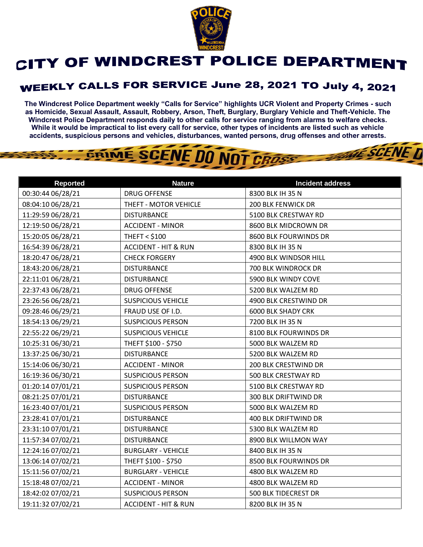

## CITY OF WINDCREST POLICE DEPARTMENT

## WEEKLY CALLS FOR SERVICE June 28, 2021 TO July 4, 2021

**The Windcrest Police Department weekly "Calls for Service" highlights UCR Violent and Property Crimes - such as Homicide, Sexual Assault, Assault, Robbery, Arson, Theft, Burglary, Burglary Vehicle and Theft-Vehicle. The Windcrest Police Department responds daily to other calls for service ranging from alarms to welfare checks. While it would be impractical to list every call for service, other types of incidents are listed such as vehicle accidents, suspicious persons and vehicles, disturbances, wanted persons, drug offenses and other arrests.** 

THE SCENE D

## GRIME SCENE DO NOT CROSS

| <b>Reported</b>   | <b>Nature</b>                   | <b>Incident address</b>   |
|-------------------|---------------------------------|---------------------------|
| 00:30:44 06/28/21 | <b>DRUG OFFENSE</b>             | 8300 BLK IH 35 N          |
| 08:04:10 06/28/21 | THEFT - MOTOR VEHICLE           | <b>200 BLK FENWICK DR</b> |
| 11:29:59 06/28/21 | <b>DISTURBANCE</b>              | 5100 BLK CRESTWAY RD      |
| 12:19:50 06/28/21 | <b>ACCIDENT - MINOR</b>         | 8600 BLK MIDCROWN DR      |
| 15:20:05 06/28/21 | <b>THEFT &lt; \$100</b>         | 8600 BLK FOURWINDS DR     |
| 16:54:39 06/28/21 | <b>ACCIDENT - HIT &amp; RUN</b> | 8300 BLK IH 35 N          |
| 18:20:47 06/28/21 | <b>CHECK FORGERY</b>            | 4900 BLK WINDSOR HILL     |
| 18:43:20 06/28/21 | <b>DISTURBANCE</b>              | 700 BLK WINDROCK DR       |
| 22:11:01 06/28/21 | <b>DISTURBANCE</b>              | 5900 BLK WINDY COVE       |
| 22:37:43 06/28/21 | <b>DRUG OFFENSE</b>             | 5200 BLK WALZEM RD        |
| 23:26:56 06/28/21 | <b>SUSPICIOUS VEHICLE</b>       | 4900 BLK CRESTWIND DR     |
| 09:28:46 06/29/21 | FRAUD USE OF I.D.               | <b>6000 BLK SHADY CRK</b> |
| 18:54:13 06/29/21 | <b>SUSPICIOUS PERSON</b>        | 7200 BLK IH 35 N          |
| 22:55:22 06/29/21 | <b>SUSPICIOUS VEHICLE</b>       | 8100 BLK FOURWINDS DR     |
| 10:25:31 06/30/21 | THEFT \$100 - \$750             | 5000 BLK WALZEM RD        |
| 13:37:25 06/30/21 | <b>DISTURBANCE</b>              | 5200 BLK WALZEM RD        |
| 15:14:06 06/30/21 | <b>ACCIDENT - MINOR</b>         | 200 BLK CRESTWIND DR      |
| 16:19:36 06/30/21 | <b>SUSPICIOUS PERSON</b>        | 500 BLK CRESTWAY RD       |
| 01:20:14 07/01/21 | <b>SUSPICIOUS PERSON</b>        | 5100 BLK CRESTWAY RD      |
| 08:21:25 07/01/21 | <b>DISTURBANCE</b>              | 300 BLK DRIFTWIND DR      |
| 16:23:40 07/01/21 | <b>SUSPICIOUS PERSON</b>        | 5000 BLK WALZEM RD        |
| 23:28:41 07/01/21 | <b>DISTURBANCE</b>              | 400 BLK DRIFTWIND DR      |
| 23:31:10 07/01/21 | <b>DISTURBANCE</b>              | 5300 BLK WALZEM RD        |
| 11:57:34 07/02/21 | <b>DISTURBANCE</b>              | 8900 BLK WILLMON WAY      |
| 12:24:16 07/02/21 | <b>BURGLARY - VEHICLE</b>       | 8400 BLK IH 35 N          |
| 13:06:14 07/02/21 | THEFT \$100 - \$750             | 8500 BLK FOURWINDS DR     |
| 15:11:56 07/02/21 | <b>BURGLARY - VEHICLE</b>       | 4800 BLK WALZEM RD        |
| 15:18:48 07/02/21 | <b>ACCIDENT - MINOR</b>         | 4800 BLK WALZEM RD        |
| 18:42:02 07/02/21 | <b>SUSPICIOUS PERSON</b>        | 500 BLK TIDECREST DR      |
| 19:11:32 07/02/21 | <b>ACCIDENT - HIT &amp; RUN</b> | 8200 BLK IH 35 N          |